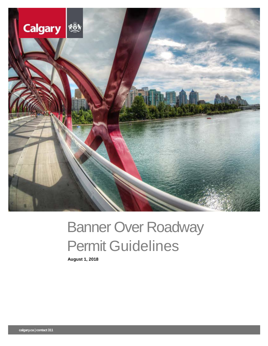

# Banner Over Roadway Permit Guidelines

**August 1, 2018**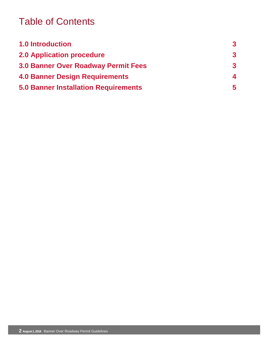### Table of Contents

| <b>1.0 Introduction</b>                     | $\boldsymbol{3}$ |
|---------------------------------------------|------------------|
| <b>2.0 Application procedure</b>            | 3                |
| <b>3.0 Banner Over Roadway Permit Fees</b>  | 3                |
| <b>4.0 Banner Design Requirements</b>       | 4                |
| <b>5.0 Banner Installation Requirements</b> | 5                |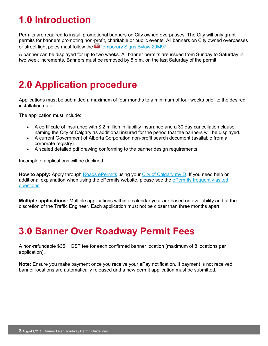## **1.0 Introduction**

Permits are required to install promotional banners on City owned overpasses. The City will only grant permits for banners promoting non-profit, charitable or public events. All banners on City owned overpasses or street light poles must follow the **For [Temporary Signs Bylaw 29M97.](http://www.calgary.ca/CA/city-clerks/Documents/Legislative-services/Bylaws/29M97-TemporarySigns-on-Highways.pdf)** 

A banner can be displayed for up to two weeks. All banner permits are issued from Sunday to Saturday in two week increments. Banners must be removed by 5 p.m. on the last Saturday of the permit.

### **2.0 Application procedure**

Applications must be submitted a maximum of four months to a minimum of four weeks prior to the desired installation date.

The application must include:

- A certificate of insurance with \$ 2 million in liability insurance and a 30 day cancellation clause, naming the City of Calgary as additional insured for the period that the banners will be displayed.
- A current Government of Alberta Corporation non-profit search document (available from a corporate registry).
- A scaled detailed pdf drawing conforming to the banner design requirements.

Incomplete applications will be declined.

**How to apply:** Apply through [Roads ePermits](https://epermits.calgary.ca/Public/Login.aspx?ReturnUrl=/) using your [City of Calgary myID.](https://myid.calgary.ca/idm/Citizen_Registration.aspx) If you need help or additional explanation when using the ePermits website, please see the ePermits frequently asked [questions.](http://www.calgary.ca/Transportation/Roads/Pages/Traffic/Permits/ePermits-FAQs.aspx)

**Multiple applications:** Multiple applications within a calendar year are based on availability and at the discretion of the Traffic Engineer. Each application must not be closer than three months apart.

### **3.0 Banner Over Roadway Permit Fees**

A non-refundable \$35 + GST fee for each confirmed banner location (maximum of 8 locations per application).

**Note:** Ensure you make payment once you receive your ePay notification. If payment is not received, banner locations are automatically released and a new permit application must be submitted.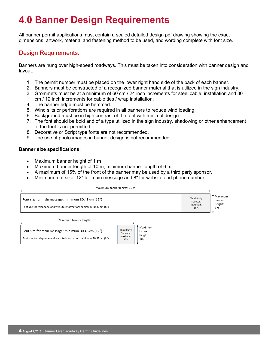### **4.0 Banner Design Requirements**

All banner permit applications must contain a scaled detailed design pdf drawing showing the exact dimensions, artwork, material and fastening method to be used, and wording complete with font size.

### Design Requirements:

Banners are hung over high-speed roadways. This must be taken into consideration with banner design and layout.

- 1. The permit number must be placed on the lower right hand side of the back of each banner.
- 2. Banners must be constructed of a recognized banner material that is utilized in the sign industry.
- 3. Grommets must be at a minimum of 60 cm / 24 inch increments for steel cable. installation and 30 cm / 12 inch increments for cable ties / wrap installation.
- 4. The banner edge must be hemmed.
- 5. Wind slits or perforations are required in all banners to reduce wind loading.
- 6. Background must be in high contrast of the font with minimal design.
- 7. The font should be bold and of a type utilized in the sign industry, shadowing or other enhancement of the font is not permitted.
- 8. Decorative or Script type fonts are not recommended.
- 9. The use of photo images in banner design is not recommended.

#### **Banner size specifications:**

- Maximum banner height of 1 m
- Maximum banner length of 10 m, minimum banner length of 6 m
- A maximum of 15% of the front of the banner may be used by a third party sponsor.
- Minimum font size: 12" for main message and 8" for website and phone number.

| Maximum banner length: 10 m                                                                                                  |                                           |                                                |                                           |                                                |
|------------------------------------------------------------------------------------------------------------------------------|-------------------------------------------|------------------------------------------------|-------------------------------------------|------------------------------------------------|
| Font size for main message: minimum 30.48 cm (12")<br>Font size for telephone and website information: minimum 20.32 cm (8") |                                           |                                                | Third Party<br>Sponsor:<br>maximum<br>15% | Maximum<br>banner<br>height:<br>1 <sub>m</sub> |
| Minimum banner length: 6 m                                                                                                   |                                           |                                                |                                           |                                                |
| Font size for main message: minimum 30.48 cm (12")<br>Font size for telephone and website information: minimum 20.32 cm (8") | Third Party<br>Sponsor:<br>maximum<br>15% | Maximum<br>banner<br>height:<br>1 <sub>m</sub> |                                           |                                                |